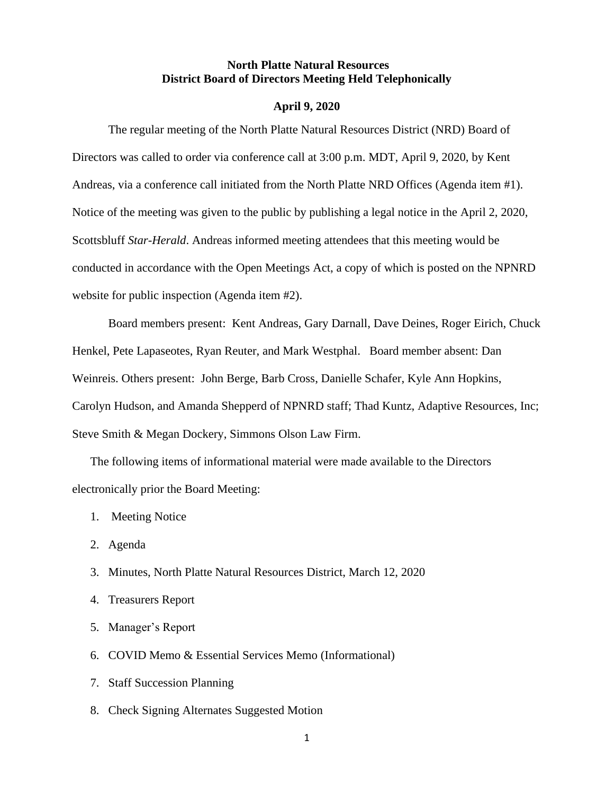### **North Platte Natural Resources District Board of Directors Meeting Held Telephonically**

#### **April 9, 2020**

The regular meeting of the North Platte Natural Resources District (NRD) Board of Directors was called to order via conference call at 3:00 p.m. MDT, April 9, 2020, by Kent Andreas, via a conference call initiated from the North Platte NRD Offices (Agenda item #1). Notice of the meeting was given to the public by publishing a legal notice in the April 2, 2020, Scottsbluff *Star-Herald*. Andreas informed meeting attendees that this meeting would be conducted in accordance with the Open Meetings Act, a copy of which is posted on the NPNRD website for public inspection (Agenda item #2).

Board members present: Kent Andreas, Gary Darnall, Dave Deines, Roger Eirich, Chuck Henkel, Pete Lapaseotes, Ryan Reuter, and Mark Westphal. Board member absent: Dan Weinreis. Others present: John Berge, Barb Cross, Danielle Schafer, Kyle Ann Hopkins, Carolyn Hudson, and Amanda Shepperd of NPNRD staff; Thad Kuntz, Adaptive Resources, Inc; Steve Smith & Megan Dockery, Simmons Olson Law Firm.

The following items of informational material were made available to the Directors electronically prior the Board Meeting:

- 1. Meeting Notice
- 2. Agenda
- 3. Minutes, North Platte Natural Resources District, March 12, 2020
- 4. Treasurers Report
- 5. Manager's Report
- 6. COVID Memo & Essential Services Memo (Informational)
- 7. Staff Succession Planning
- 8. Check Signing Alternates Suggested Motion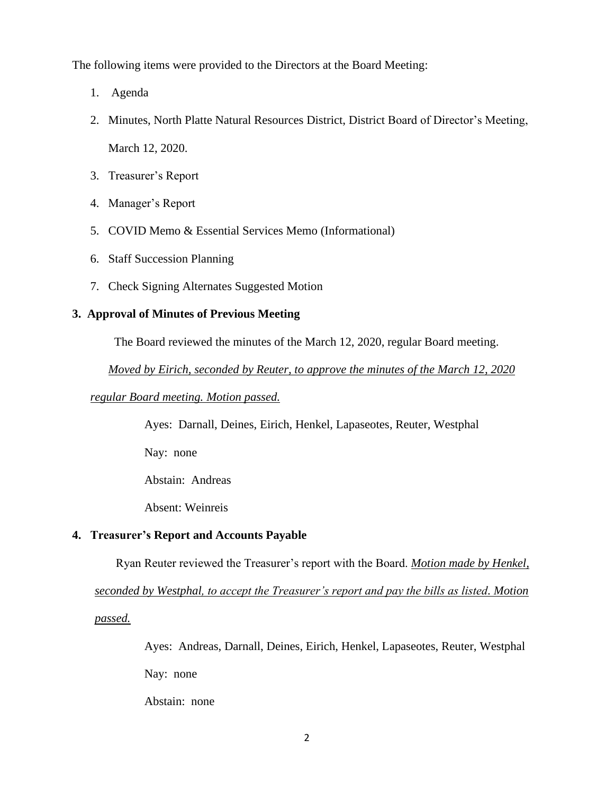The following items were provided to the Directors at the Board Meeting:

- 1. Agenda
- 2. Minutes, North Platte Natural Resources District, District Board of Director's Meeting, March 12, 2020.
- 3. Treasurer's Report
- 4. Manager's Report
- 5. COVID Memo & Essential Services Memo (Informational)
- 6. Staff Succession Planning
- 7. Check Signing Alternates Suggested Motion

## **3. Approval of Minutes of Previous Meeting**

The Board reviewed the minutes of the March 12, 2020, regular Board meeting.

*Moved by Eirich, seconded by Reuter, to approve the minutes of the March 12, 2020* 

## *regular Board meeting. Motion passed.*

Ayes: Darnall, Deines, Eirich, Henkel, Lapaseotes, Reuter, Westphal

Nay: none

Abstain: Andreas

Absent: Weinreis

# **4. Treasurer's Report and Accounts Payable**

Ryan Reuter reviewed the Treasurer's report with the Board. *Motion made by Henkel,* 

*seconded by Westphal, to accept the Treasurer's report and pay the bills as listed. Motion* 

*passed.*

Ayes: Andreas, Darnall, Deines, Eirich, Henkel, Lapaseotes, Reuter, Westphal Nay: none

Abstain: none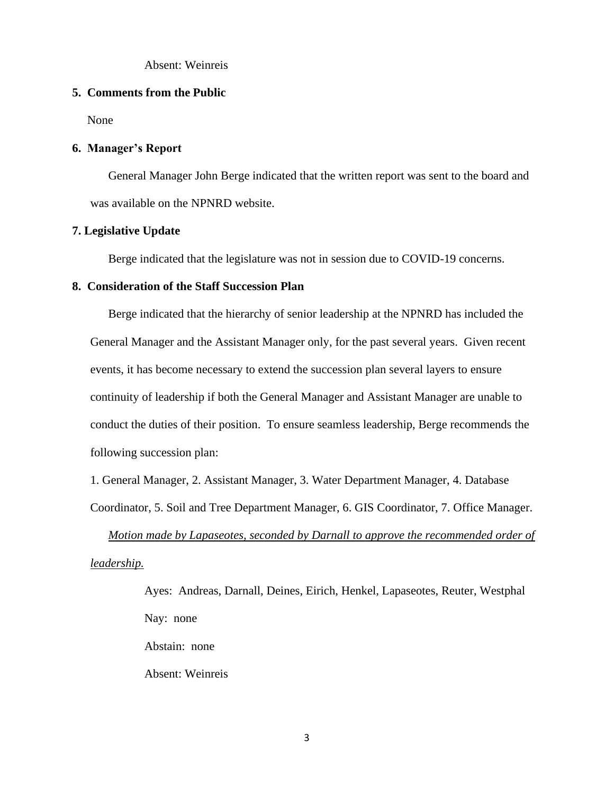Absent: Weinreis

### **5. Comments from the Public**

None

### **6. Manager's Report**

General Manager John Berge indicated that the written report was sent to the board and was available on the NPNRD website.

### **7. Legislative Update**

Berge indicated that the legislature was not in session due to COVID-19 concerns.

### **8. Consideration of the Staff Succession Plan**

Berge indicated that the hierarchy of senior leadership at the NPNRD has included the General Manager and the Assistant Manager only, for the past several years. Given recent events, it has become necessary to extend the succession plan several layers to ensure continuity of leadership if both the General Manager and Assistant Manager are unable to conduct the duties of their position. To ensure seamless leadership, Berge recommends the following succession plan:

1. General Manager, 2. Assistant Manager, 3. Water Department Manager, 4. Database

Coordinator, 5. Soil and Tree Department Manager, 6. GIS Coordinator, 7. Office Manager.

*Motion made by Lapaseotes, seconded by Darnall to approve the recommended order of leadership.*

> Ayes: Andreas, Darnall, Deines, Eirich, Henkel, Lapaseotes, Reuter, Westphal Nay: none Abstain: none Absent: Weinreis